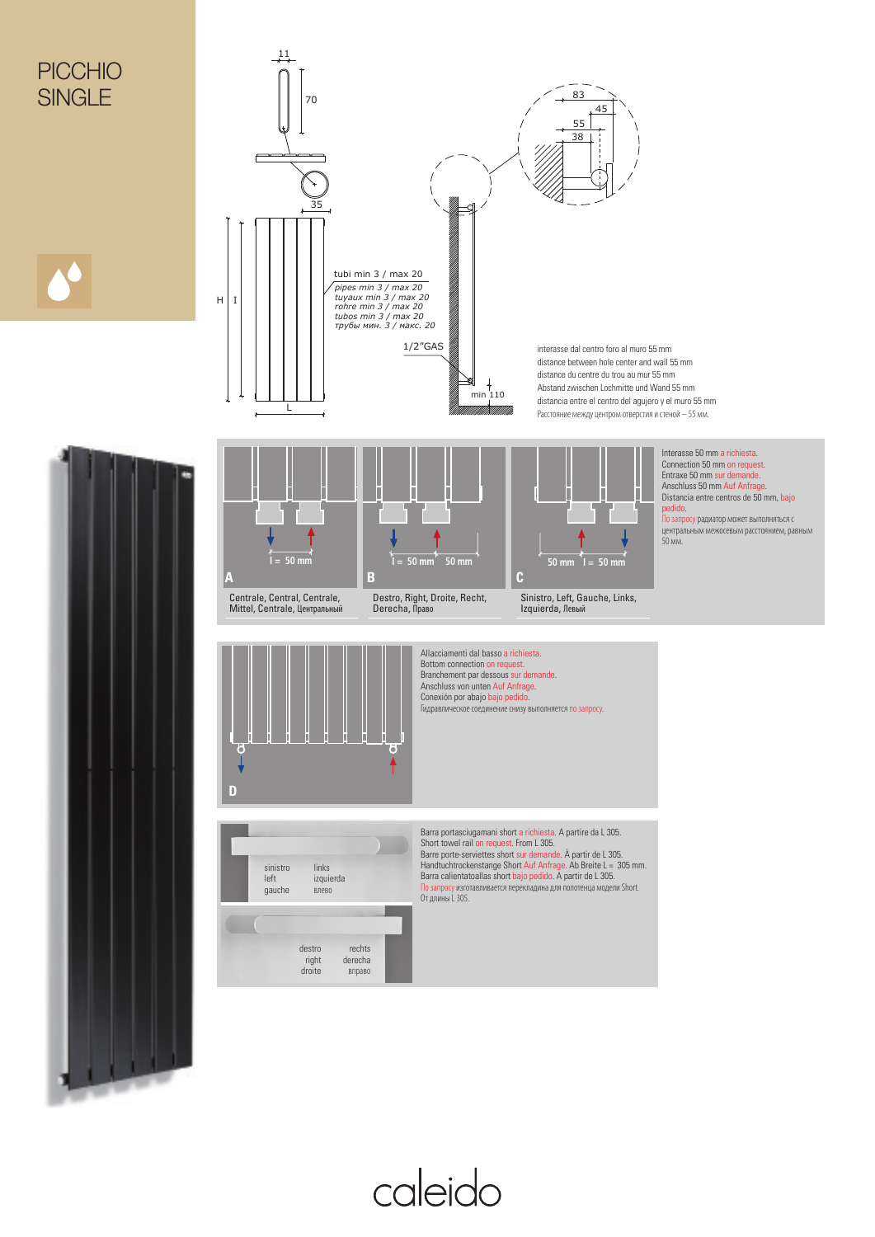

caleido